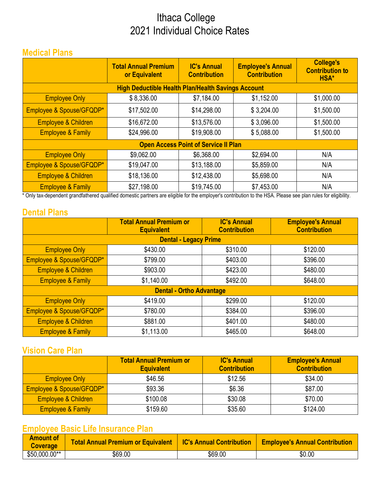# Ithaca College 2021 Individual Choice Rates

### **Medical Plans**

|                                             | <b>Total Annual Premium</b><br>or Equivalent              | <b>IC's Annual</b><br><b>Contribution</b> | <b>Employee's Annual</b><br><b>Contribution</b> | <b>College's</b><br><b>Contribution to</b><br>HSA* |
|---------------------------------------------|-----------------------------------------------------------|-------------------------------------------|-------------------------------------------------|----------------------------------------------------|
|                                             | <b>High Deductible Health Plan/Health Savings Account</b> |                                           |                                                 |                                                    |
| <b>Employee Only</b>                        | \$8,336.00                                                | \$7,184.00                                | \$1,152.00                                      | \$1,000.00                                         |
| Employee & Spouse/GFQDP*                    | \$17,502.00                                               | \$14,298.00                               | \$3,204.00                                      | \$1,500.00                                         |
| Employee & Children                         | \$16,672.00                                               | \$13,576.00                               | \$3,096.00                                      | \$1,500.00                                         |
| <b>Employee &amp; Family</b>                | \$24,996.00                                               | \$19,908.00                               | \$5,088.00                                      | \$1,500.00                                         |
| <b>Open Access Point of Service II Plan</b> |                                                           |                                           |                                                 |                                                    |
| <b>Employee Only</b>                        | \$9,062.00                                                | \$6,368.00                                | \$2,694.00                                      | N/A                                                |
| Employee & Spouse/GFQDP*                    | \$19,047.00                                               | \$13,188.00                               | \$5,859.00                                      | N/A                                                |
| Employee & Children                         | \$18,136.00                                               | \$12,438.00                               | \$5,698.00                                      | N/A                                                |
| <b>Employee &amp; Family</b>                | \$27,198.00                                               | \$19,745.00                               | \$7,453.00                                      | N/A                                                |

\* Only tax-dependent grandfathered qualified domestic partners are eligible for the employer's contribution to the HSA. Please see plan rules for eligibility.

### **Dental Plans**

|                                 | <b>Total Annual Premium or</b><br><b>Equivalent</b> | <b>IC's Annual</b><br><b>Contribution</b> | <b>Employee's Annual</b><br><b>Contribution</b> |  |
|---------------------------------|-----------------------------------------------------|-------------------------------------------|-------------------------------------------------|--|
|                                 | <b>Dental - Legacy Prime</b>                        |                                           |                                                 |  |
| <b>Employee Only</b>            | \$430.00                                            | \$310.00                                  | \$120.00                                        |  |
| Employee & Spouse/GFQDP*        | \$799.00                                            | \$403.00                                  | \$396.00                                        |  |
| Employee & Children             | \$903.00                                            | \$423.00                                  | \$480.00                                        |  |
| <b>Employee &amp; Family</b>    | \$1,140.00                                          | \$492.00                                  | \$648.00                                        |  |
| <b>Dental - Ortho Advantage</b> |                                                     |                                           |                                                 |  |
| <b>Employee Only</b>            | \$419.00                                            | \$299.00                                  | \$120.00                                        |  |
| Employee & Spouse/GFQDP*        | \$780.00                                            | \$384.00                                  | \$396.00                                        |  |
| Employee & Children             | \$881.00                                            | \$401.00                                  | \$480.00                                        |  |
| <b>Employee &amp; Family</b>    | \$1,113.00                                          | \$465.00                                  | \$648.00                                        |  |

### **Vision Care Plan**

|                              | <b>Total Annual Premium or</b><br><b>Equivalent</b> | <b>IC's Annual</b><br><b>Contribution</b> | <b>Employee's Annual</b><br><b>Contribution</b> |
|------------------------------|-----------------------------------------------------|-------------------------------------------|-------------------------------------------------|
| <b>Employee Only</b>         | \$46.56                                             | \$12.56                                   | \$34.00                                         |
| Employee & Spouse/GFQDP*     | \$93.36                                             | \$6.36                                    | \$87.00                                         |
| Employee & Children          | \$100.08                                            | \$30.08                                   | \$70.00                                         |
| <b>Employee &amp; Family</b> | \$159.60                                            | \$35.60                                   | \$124.00                                        |

## **Employee Basic Life Insurance Plan**

| <b>Amount of</b><br><b>Coverage</b> | Total Annual Premium or Equivalent   IC's Annual Contribution |         | <b>Employee's Annual Contribution</b> |
|-------------------------------------|---------------------------------------------------------------|---------|---------------------------------------|
| $$50,000.00**$                      | \$69.00                                                       | \$69.00 | \$0.00                                |